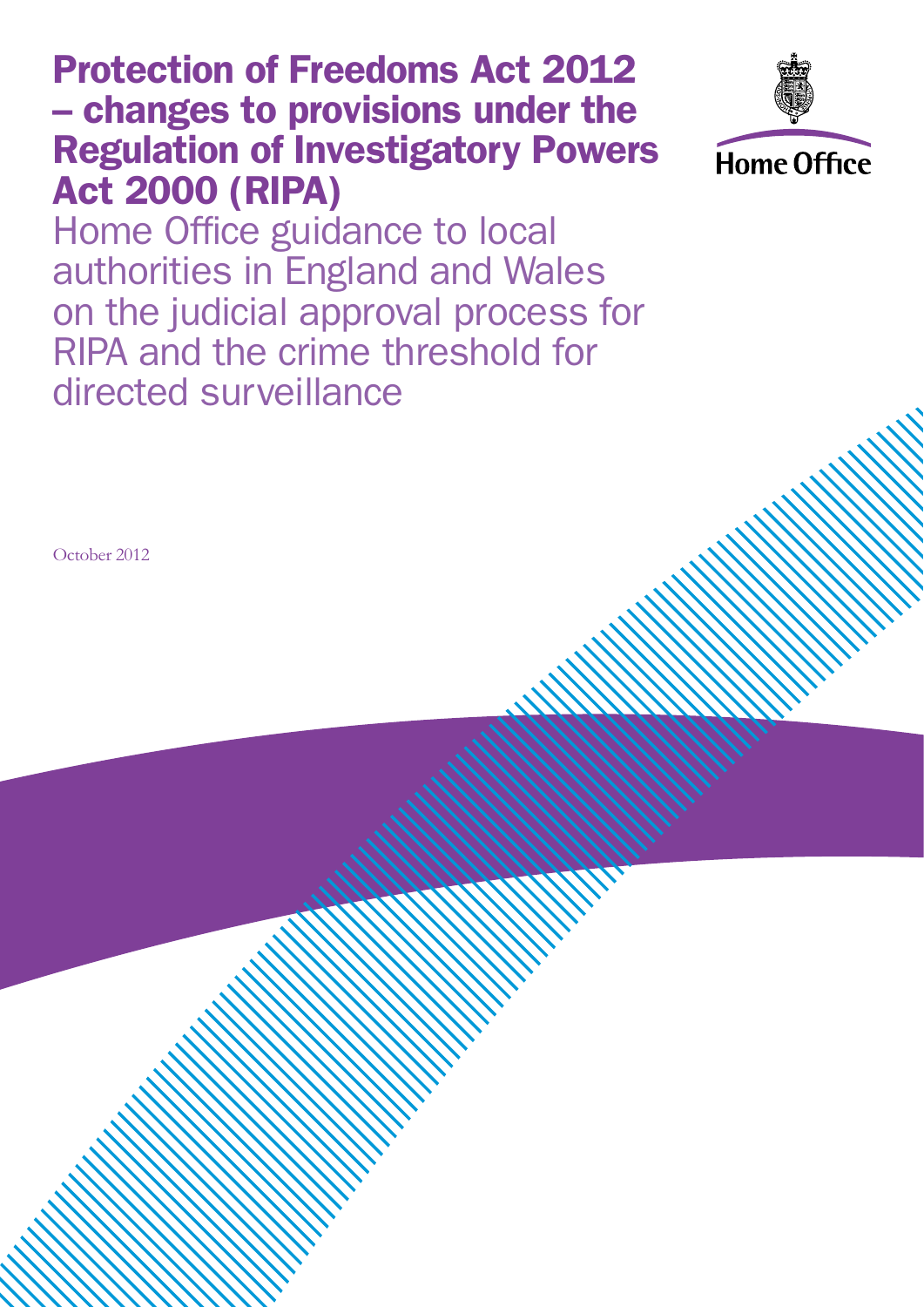### Protection of Freedoms Act 2012 – changes to provisions under the Regulation of Investigatory Powers Act 2000 (RIPA)



Home Office guidance to local authorities in England and Wales on the judicial approval process for RIPA and the crime threshold for directed surveillance

October 2012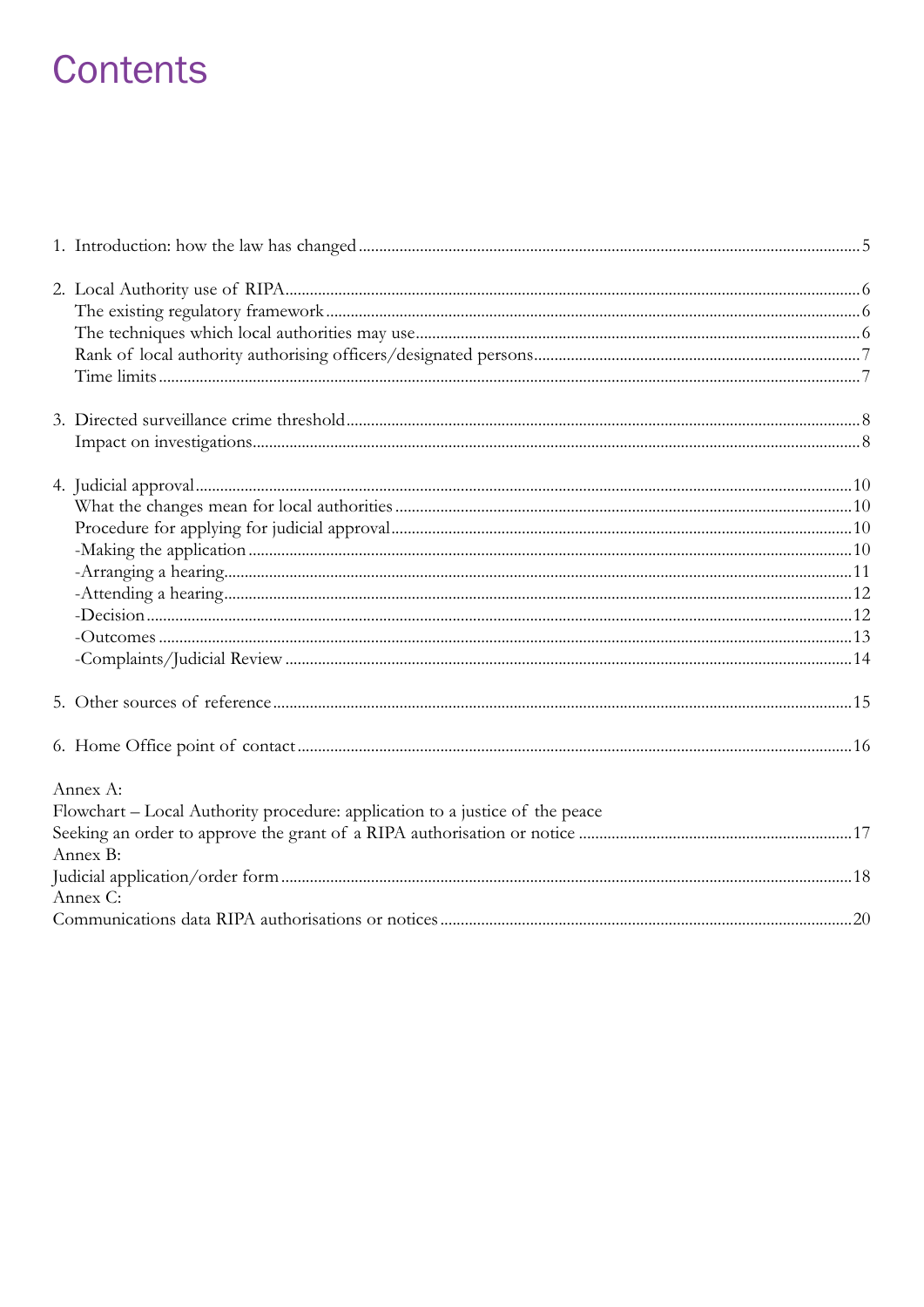### **Contents**

| Annex A:<br>Flowchart - Local Authority procedure: application to a justice of the peace<br>Annex B:<br>Annex C: |  |
|------------------------------------------------------------------------------------------------------------------|--|
|                                                                                                                  |  |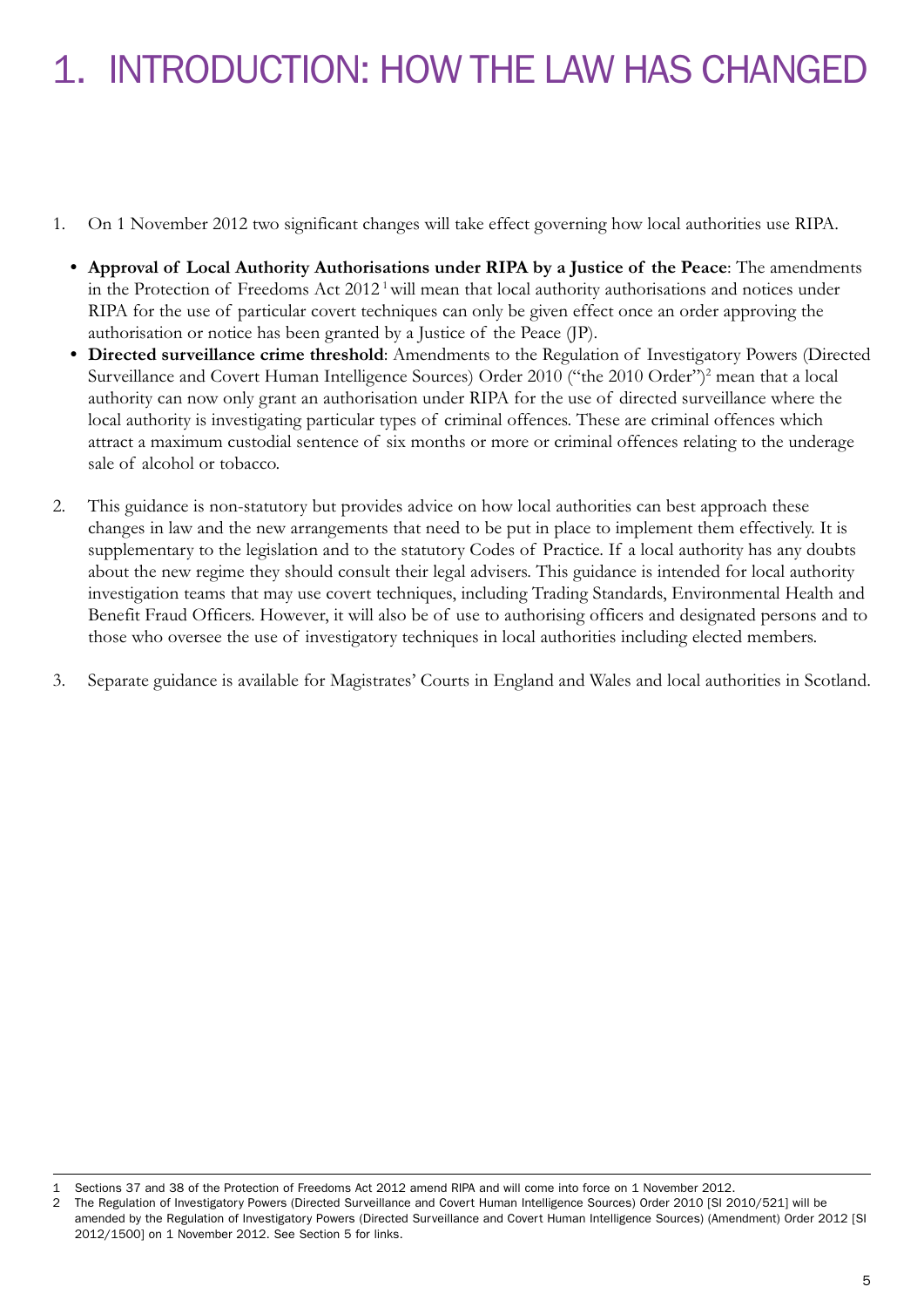## 1. INTRODUCTION: HOW THE LAW HAS CHANGED

- 1. On 1 November 2012 two significant changes will take effect governing how local authorities use RIPA.
	- **• Approval of Local Authority Authorisations under RIPA by a Justice of the Peace**: The amendments in the Protection of Freedoms Act 2012<sup>1</sup> will mean that local authority authorisations and notices under RIPA for the use of particular covert techniques can only be given effect once an order approving the authorisation or notice has been granted by a Justice of the Peace (JP).
	- **• Directed surveillance crime threshold**: Amendments to the Regulation of Investigatory Powers (Directed Surveillance and Covert Human Intelligence Sources) Order 2010 ("the 2010 Order")<sup>2</sup> mean that a local authority can now only grant an authorisation under RIPA for the use of directed surveillance where the local authority is investigating particular types of criminal offences. These are criminal offences which attract a maximum custodial sentence of six months or more or criminal offences relating to the underage sale of alcohol or tobacco.
- 2. This guidance is non-statutory but provides advice on how local authorities can best approach these changes in law and the new arrangements that need to be put in place to implement them effectively. It is supplementary to the legislation and to the statutory Codes of Practice. If a local authority has any doubts about the new regime they should consult their legal advisers. This guidance is intended for local authority investigation teams that may use covert techniques, including Trading Standards, Environmental Health and Benefit Fraud Officers. However, it will also be of use to authorising officers and designated persons and to those who oversee the use of investigatory techniques in local authorities including elected members.
- 3. Separate guidance is available for Magistrates' Courts in England and Wales and local authorities in Scotland.

<sup>1</sup> Sections 37 and 38 of the Protection of Freedoms Act 2012 amend RIPA and will come into force on 1 November 2012.

<sup>2</sup> The Regulation of Investigatory Powers (Directed Surveillance and Covert Human Intelligence Sources) Order 2010 [SI 2010/521] will be amended by the Regulation of Investigatory Powers (Directed Surveillance and Covert Human Intelligence Sources) (Amendment) Order 2012 [SI 2012/1500] on 1 November 2012. See Section 5 for links.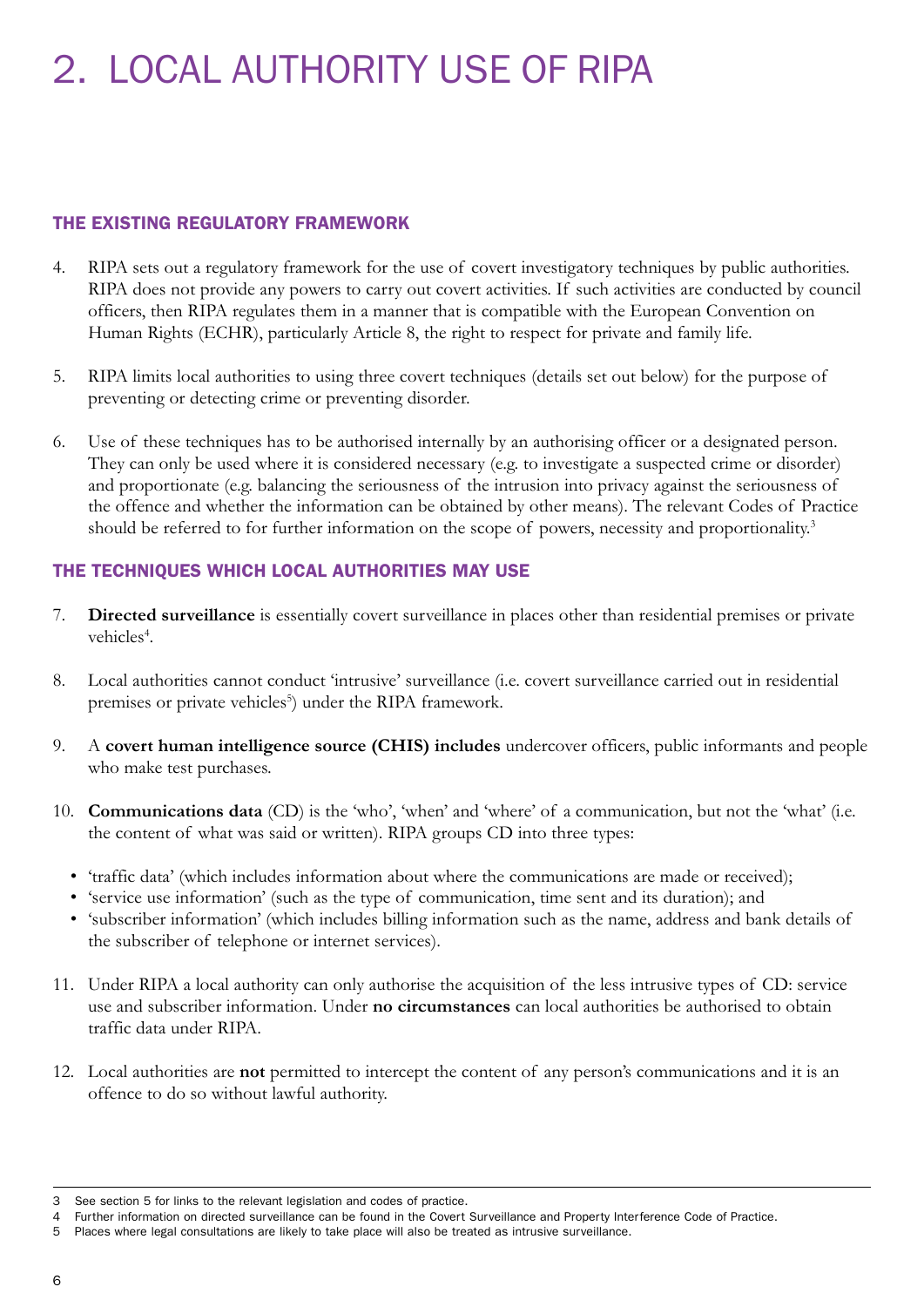# 2. LOCAL AUTHORITY USE OF RIPA

#### THE EXISTING REGULATORY FRAMEWORK

- 4. RIPA sets out a regulatory framework for the use of covert investigatory techniques by public authorities. RIPA does not provide any powers to carry out covert activities. If such activities are conducted by council officers, then RIPA regulates them in a manner that is compatible with the European Convention on Human Rights (ECHR), particularly Article 8, the right to respect for private and family life.
- 5. RIPA limits local authorities to using three covert techniques (details set out below) for the purpose of preventing or detecting crime or preventing disorder.
- 6. Use of these techniques has to be authorised internally by an authorising officer or a designated person. They can only be used where it is considered necessary (e.g. to investigate a suspected crime or disorder) and proportionate (e.g. balancing the seriousness of the intrusion into privacy against the seriousness of the offence and whether the information can be obtained by other means). The relevant Codes of Practice should be referred to for further information on the scope of powers, necessity and proportionality.<sup>3</sup>

#### THE TECHNIQUES WHICH LOCAL AUTHORITIES MAY USE

- 7. **Directed surveillance** is essentially covert surveillance in places other than residential premises or private vehicles<sup>4</sup>.
- 8. Local authorities cannot conduct 'intrusive' surveillance (i.e. covert surveillance carried out in residential premises or private vehicles<sup>5</sup>) under the RIPA framework.
- 9. A **covert human intelligence source (CHIS) includes** undercover officers, public informants and people who make test purchases.
- 10. **Communications data** (CD) is the 'who', 'when' and 'where' of a communication, but not the 'what' (i.e. the content of what was said or written). RIPA groups CD into three types:
	- 'traffic data' (which includes information about where the communications are made or received);
	- • 'service use information' (such as the type of communication, time sent and its duration); and
	- • 'subscriber information' (which includes billing information such as the name, address and bank details of the subscriber of telephone or internet services).
- 11. Under RIPA a local authority can only authorise the acquisition of the less intrusive types of CD: service use and subscriber information. Under **no circumstances** can local authorities be authorised to obtain traffic data under RIPA.
- 12. Local authorities are **not** permitted to intercept the content of any person's communications and it is an offence to do so without lawful authority.

<sup>3</sup> See section 5 for links to the relevant legislation and codes of practice.

<sup>4</sup> Further information on directed surveillance can be found in the Covert Surveillance and Property Interference Code of Practice.

<sup>5</sup> Places where legal consultations are likely to take place will also be treated as intrusive surveillance.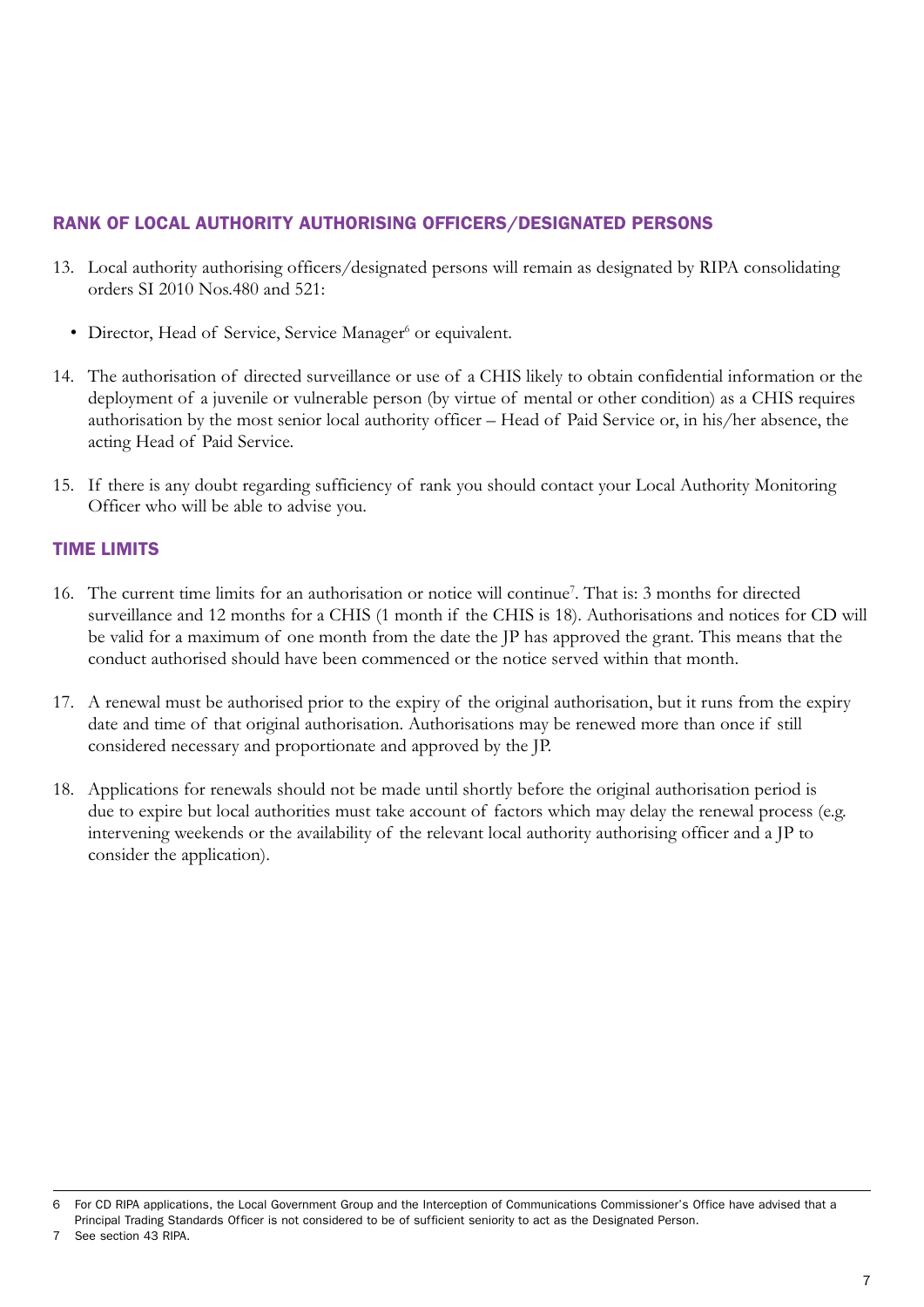#### RANK OF LOCAL AUTHORITY AUTHORISING OFFICERS/DESIGNATED PERSONS

- 13. Local authority authorising officers/designated persons will remain as designated by RIPA consolidating orders SI 2010 Nos.480 and 521:
	- · Director, Head of Service, Service Manager<sup>6</sup> or equivalent.
- 14. The authorisation of directed surveillance or use of a CHIS likely to obtain confidential information or the deployment of a juvenile or vulnerable person (by virtue of mental or other condition) as a CHIS requires authorisation by the most senior local authority officer – Head of Paid Service or, in his/her absence, the acting Head of Paid Service.
- 15. If there is any doubt regarding sufficiency of rank you should contact your Local Authority Monitoring Officer who will be able to advise you.

#### TIME LIMITS

- 16. The current time limits for an authorisation or notice will continue<sup>7</sup>. That is: 3 months for directed surveillance and 12 months for a CHIS (1 month if the CHIS is 18). Authorisations and notices for CD will be valid for a maximum of one month from the date the JP has approved the grant. This means that the conduct authorised should have been commenced or the notice served within that month.
- 17. A renewal must be authorised prior to the expiry of the original authorisation, but it runs from the expiry date and time of that original authorisation. Authorisations may be renewed more than once if still considered necessary and proportionate and approved by the JP.
- 18. Applications for renewals should not be made until shortly before the original authorisation period is due to expire but local authorities must take account of factors which may delay the renewal process (e.g. intervening weekends or the availability of the relevant local authority authorising officer and a JP to consider the application).

<sup>6</sup> For CD RIPA applications, the Local Government Group and the Interception of Communications Commissioner's Office have advised that a Principal Trading Standards Officer is not considered to be of sufficient seniority to act as the Designated Person.

See section 43 RIPA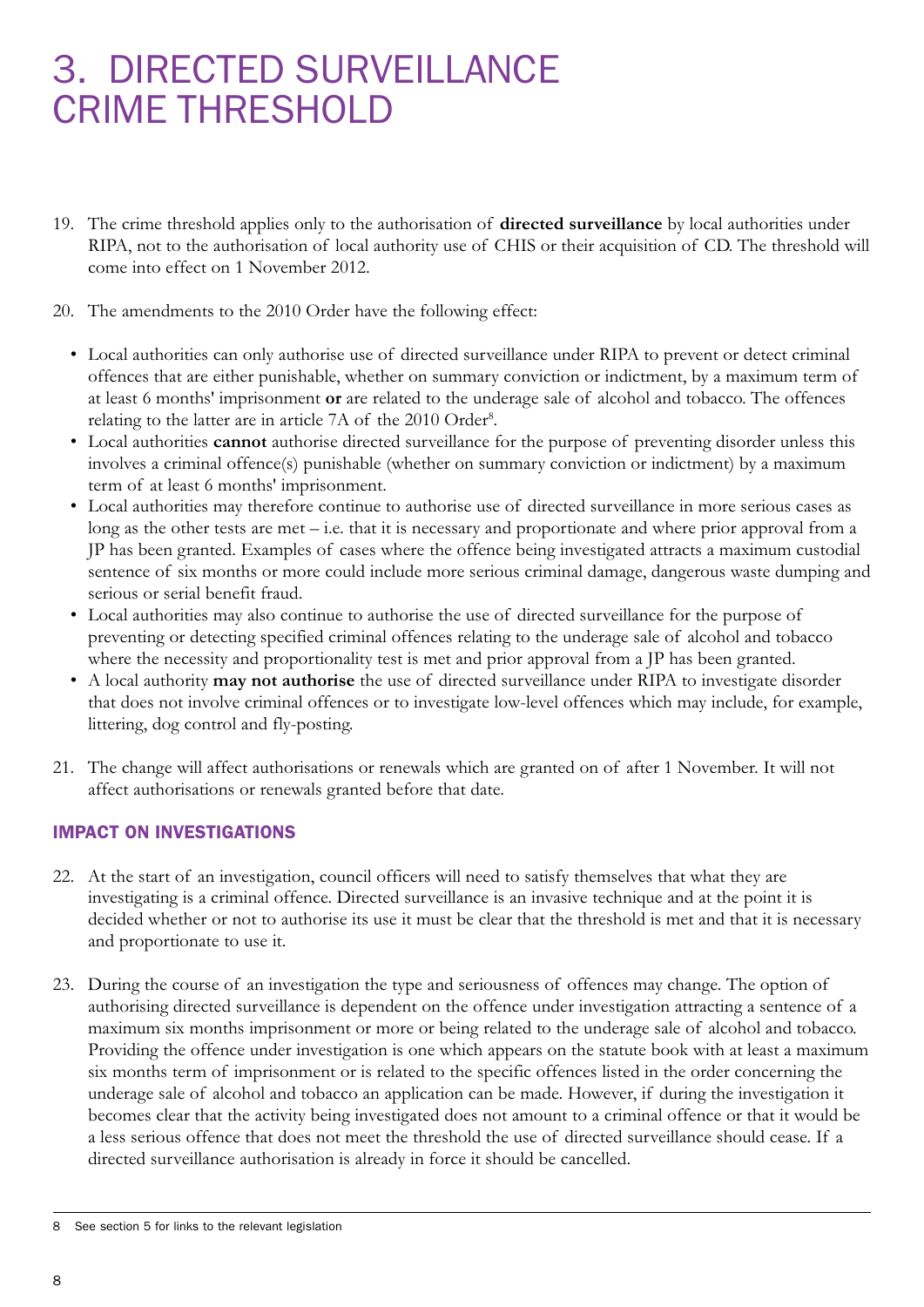### 3. DIRECTED SURVEILLANCE CRIME THRESHOLD

- 19. The crime threshold applies only to the authorisation of **directed surveillance** by local authorities under RIPA, not to the authorisation of local authority use of CHIS or their acquisition of CD. The threshold will come into effect on 1 November 2012.
- 20. The amendments to the 2010 Order have the following effect:
	- • Local authorities can only authorise use of directed surveillance under RIPA to prevent or detect criminal offences that are either punishable, whether on summary conviction or indictment, by a maximum term of at least 6 months' imprisonment **or** are related to the underage sale of alcohol and tobacco. The offences relating to the latter are in article 7A of the 2010 Order<sup>8</sup>.
	- • Local authorities **cannot** authorise directed surveillance for the purpose of preventing disorder unless this involves a criminal offence(s) punishable (whether on summary conviction or indictment) by a maximum term of at least 6 months' imprisonment.
	- • Local authorities may therefore continue to authorise use of directed surveillance in more serious cases as long as the other tests are met – i.e. that it is necessary and proportionate and where prior approval from a JP has been granted. Examples of cases where the offence being investigated attracts a maximum custodial sentence of six months or more could include more serious criminal damage, dangerous waste dumping and serious or serial benefit fraud.
	- • Local authorities may also continue to authorise the use of directed surveillance for the purpose of preventing or detecting specified criminal offences relating to the underage sale of alcohol and tobacco where the necessity and proportionality test is met and prior approval from a JP has been granted.
	- • A local authority **may not authorise** the use of directed surveillance under RIPA to investigate disorder that does not involve criminal offences or to investigate low-level offences which may include, for example, littering, dog control and fly-posting.
- 21. The change will affect authorisations or renewals which are granted on of after 1 November. It will not affect authorisations or renewals granted before that date.

#### IMPACT ON INVESTIGATIONS

- 22. At the start of an investigation, council officers will need to satisfy themselves that what they are investigating is a criminal offence. Directed surveillance is an invasive technique and at the point it is decided whether or not to authorise its use it must be clear that the threshold is met and that it is necessary and proportionate to use it.
- 23. During the course of an investigation the type and seriousness of offences may change. The option of authorising directed surveillance is dependent on the offence under investigation attracting a sentence of a maximum six months imprisonment or more or being related to the underage sale of alcohol and tobacco. Providing the offence under investigation is one which appears on the statute book with at least a maximum six months term of imprisonment or is related to the specific offences listed in the order concerning the underage sale of alcohol and tobacco an application can be made. However, if during the investigation it becomes clear that the activity being investigated does not amount to a criminal offence or that it would be a less serious offence that does not meet the threshold the use of directed surveillance should cease. If a directed surveillance authorisation is already in force it should be cancelled.

<sup>8</sup> See section 5 for links to the relevant legislation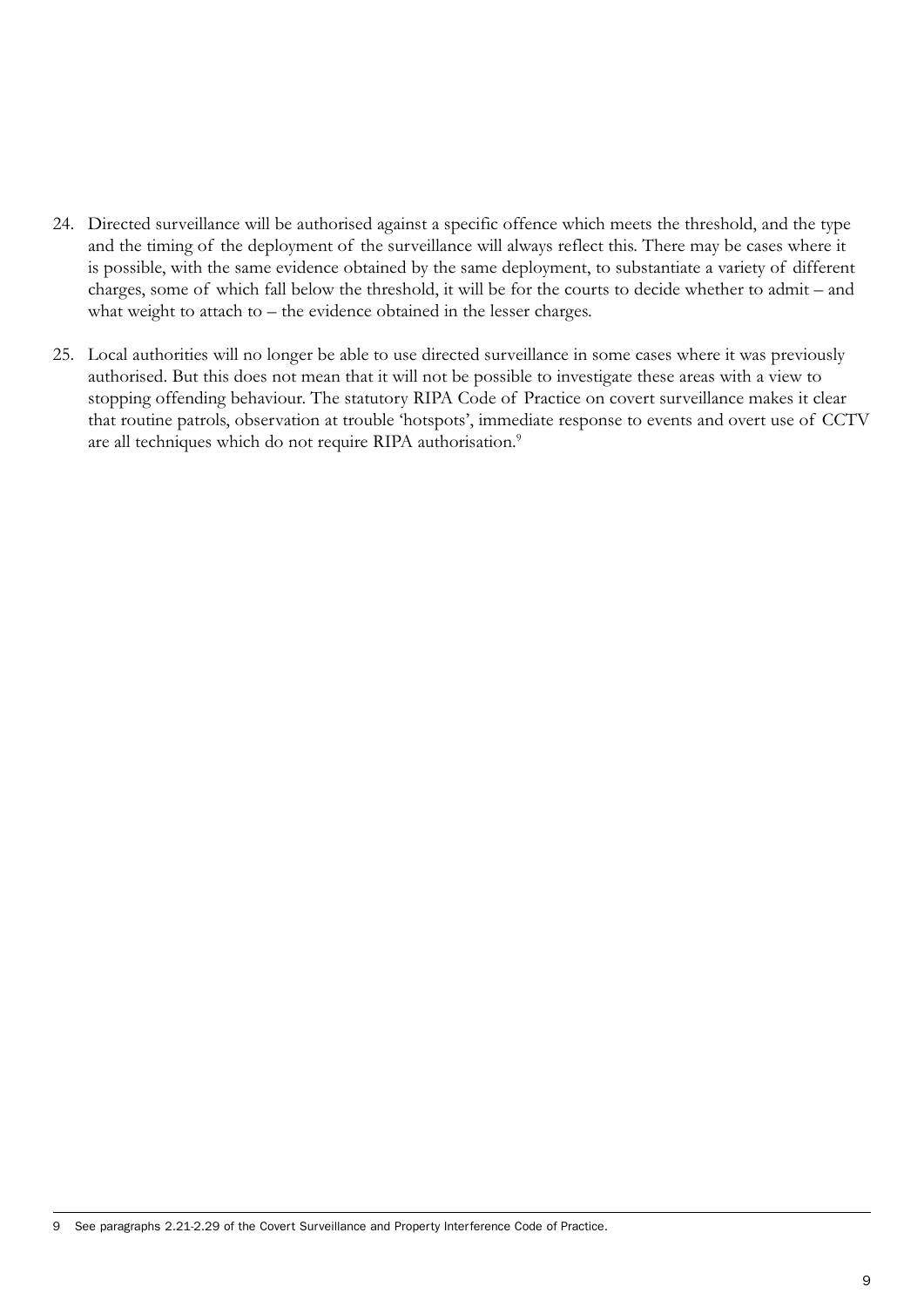- 24. Directed surveillance will be authorised against a specific offence which meets the threshold, and the type and the timing of the deployment of the surveillance will always reflect this. There may be cases where it is possible, with the same evidence obtained by the same deployment, to substantiate a variety of different charges, some of which fall below the threshold, it will be for the courts to decide whether to admit – and what weight to attach to – the evidence obtained in the lesser charges.
- 25. Local authorities will no longer be able to use directed surveillance in some cases where it was previously authorised. But this does not mean that it will not be possible to investigate these areas with a view to stopping offending behaviour. The statutory RIPA Code of Practice on covert surveillance makes it clear that routine patrols, observation at trouble 'hotspots', immediate response to events and overt use of CCTV are all techniques which do not require RIPA authorisation.<sup>9</sup>

9 See paragraphs 2.21-2.29 of the Covert Surveillance and Property Interference Code of Practice.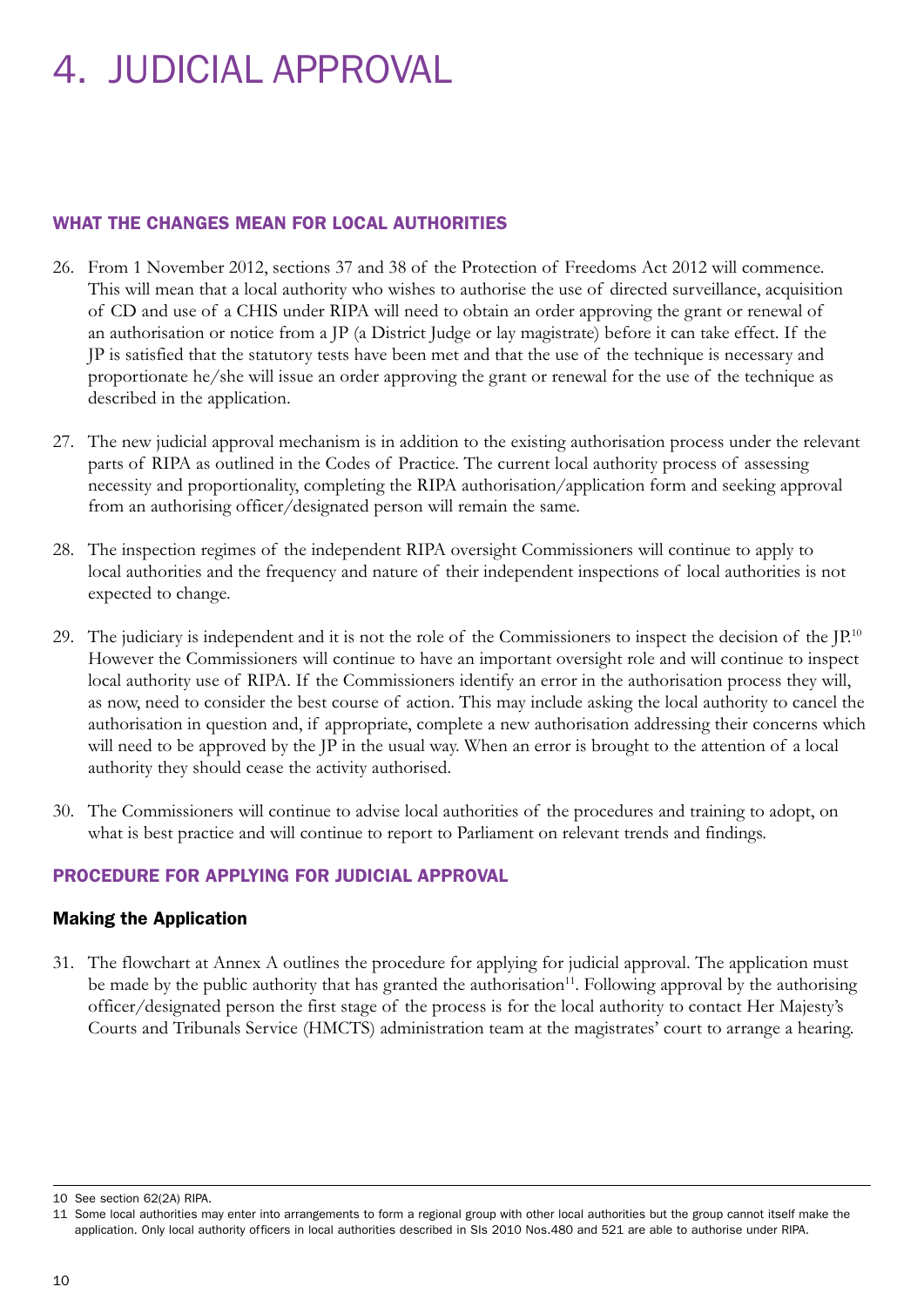# 4. JUDICIAL APPROVAL

#### WHAT THE CHANGES MEAN FOR LOCAL AUTHORITIES

- 26. From 1 November 2012, sections 37 and 38 of the Protection of Freedoms Act 2012 will commence. This will mean that a local authority who wishes to authorise the use of directed surveillance, acquisition of CD and use of a CHIS under RIPA will need to obtain an order approving the grant or renewal of an authorisation or notice from a JP (a District Judge or lay magistrate) before it can take effect. If the JP is satisfied that the statutory tests have been met and that the use of the technique is necessary and proportionate he/she will issue an order approving the grant or renewal for the use of the technique as described in the application.
- 27. The new judicial approval mechanism is in addition to the existing authorisation process under the relevant parts of RIPA as outlined in the Codes of Practice. The current local authority process of assessing necessity and proportionality, completing the RIPA authorisation/application form and seeking approval from an authorising officer/designated person will remain the same.
- 28. The inspection regimes of the independent RIPA oversight Commissioners will continue to apply to local authorities and the frequency and nature of their independent inspections of local authorities is not expected to change.
- 29. The judiciary is independent and it is not the role of the Commissioners to inspect the decision of the  $[**P**$ .<sup>10</sup> However the Commissioners will continue to have an important oversight role and will continue to inspect local authority use of RIPA. If the Commissioners identify an error in the authorisation process they will, as now, need to consider the best course of action. This may include asking the local authority to cancel the authorisation in question and, if appropriate, complete a new authorisation addressing their concerns which will need to be approved by the JP in the usual way. When an error is brought to the attention of a local authority they should cease the activity authorised.
- 30. The Commissioners will continue to advise local authorities of the procedures and training to adopt, on what is best practice and will continue to report to Parliament on relevant trends and findings.

#### PROCEDURE FOR APPLYING FOR JUDICIAL APPROVAL

#### Making the Application

31. The flowchart at Annex A outlines the procedure for applying for judicial approval. The application must be made by the public authority that has granted the authorisation $11$ . Following approval by the authorising officer/designated person the first stage of the process is for the local authority to contact Her Majesty's Courts and Tribunals Service (HMCTS) administration team at the magistrates' court to arrange a hearing.

<sup>10</sup> See section 62(2A) RIPA.

<sup>11</sup> Some local authorities may enter into arrangements to form a regional group with other local authorities but the group cannot itself make the application. Only local authority officers in local authorities described in SIs 2010 Nos.480 and 521 are able to authorise under RIPA.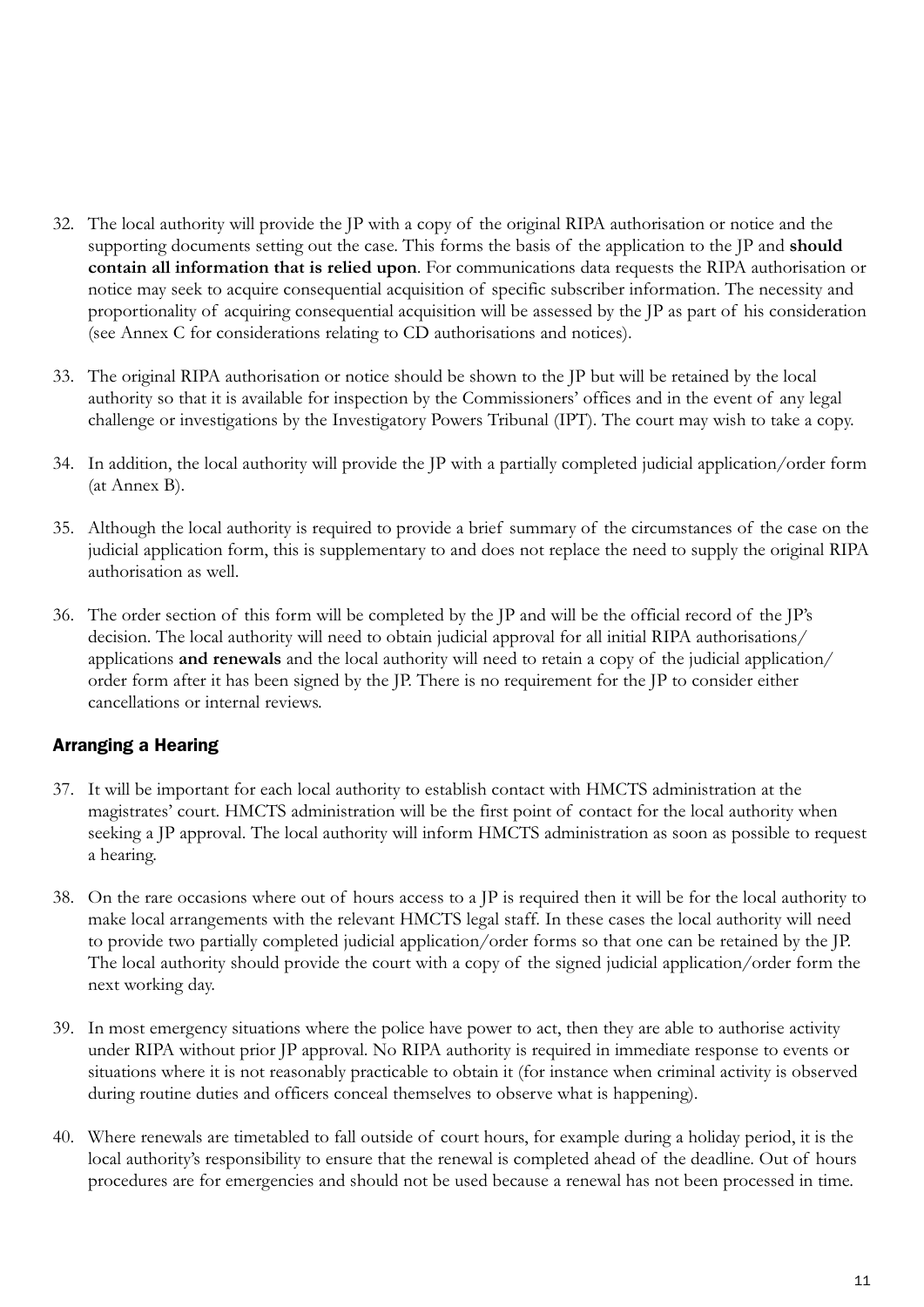- 32. The local authority will provide the JP with a copy of the original RIPA authorisation or notice and the supporting documents setting out the case. This forms the basis of the application to the JP and **should contain all information that is relied upon**. For communications data requests the RIPA authorisation or notice may seek to acquire consequential acquisition of specific subscriber information. The necessity and proportionality of acquiring consequential acquisition will be assessed by the JP as part of his consideration (see Annex C for considerations relating to CD authorisations and notices).
- 33. The original RIPA authorisation or notice should be shown to the JP but will be retained by the local authority so that it is available for inspection by the Commissioners' offices and in the event of any legal challenge or investigations by the Investigatory Powers Tribunal (IPT). The court may wish to take a copy.
- 34. In addition, the local authority will provide the JP with a partially completed judicial application/order form (at Annex B).
- 35. Although the local authority is required to provide a brief summary of the circumstances of the case on the judicial application form, this is supplementary to and does not replace the need to supply the original RIPA authorisation as well.
- 36. The order section of this form will be completed by the JP and will be the official record of the JP's decision. The local authority will need to obtain judicial approval for all initial RIPA authorisations/ applications **and renewals** and the local authority will need to retain a copy of the judicial application/ order form after it has been signed by the JP. There is no requirement for the JP to consider either cancellations or internal reviews.

#### Arranging a Hearing

- 37. It will be important for each local authority to establish contact with HMCTS administration at the magistrates' court. HMCTS administration will be the first point of contact for the local authority when seeking a JP approval. The local authority will inform HMCTS administration as soon as possible to request a hearing.
- 38. On the rare occasions where out of hours access to a JP is required then it will be for the local authority to make local arrangements with the relevant HMCTS legal staff. In these cases the local authority will need to provide two partially completed judicial application/order forms so that one can be retained by the JP. The local authority should provide the court with a copy of the signed judicial application/order form the next working day.
- 39. In most emergency situations where the police have power to act, then they are able to authorise activity under RIPA without prior JP approval. No RIPA authority is required in immediate response to events or situations where it is not reasonably practicable to obtain it (for instance when criminal activity is observed during routine duties and officers conceal themselves to observe what is happening).
- 40. Where renewals are timetabled to fall outside of court hours, for example during a holiday period, it is the local authority's responsibility to ensure that the renewal is completed ahead of the deadline. Out of hours procedures are for emergencies and should not be used because a renewal has not been processed in time.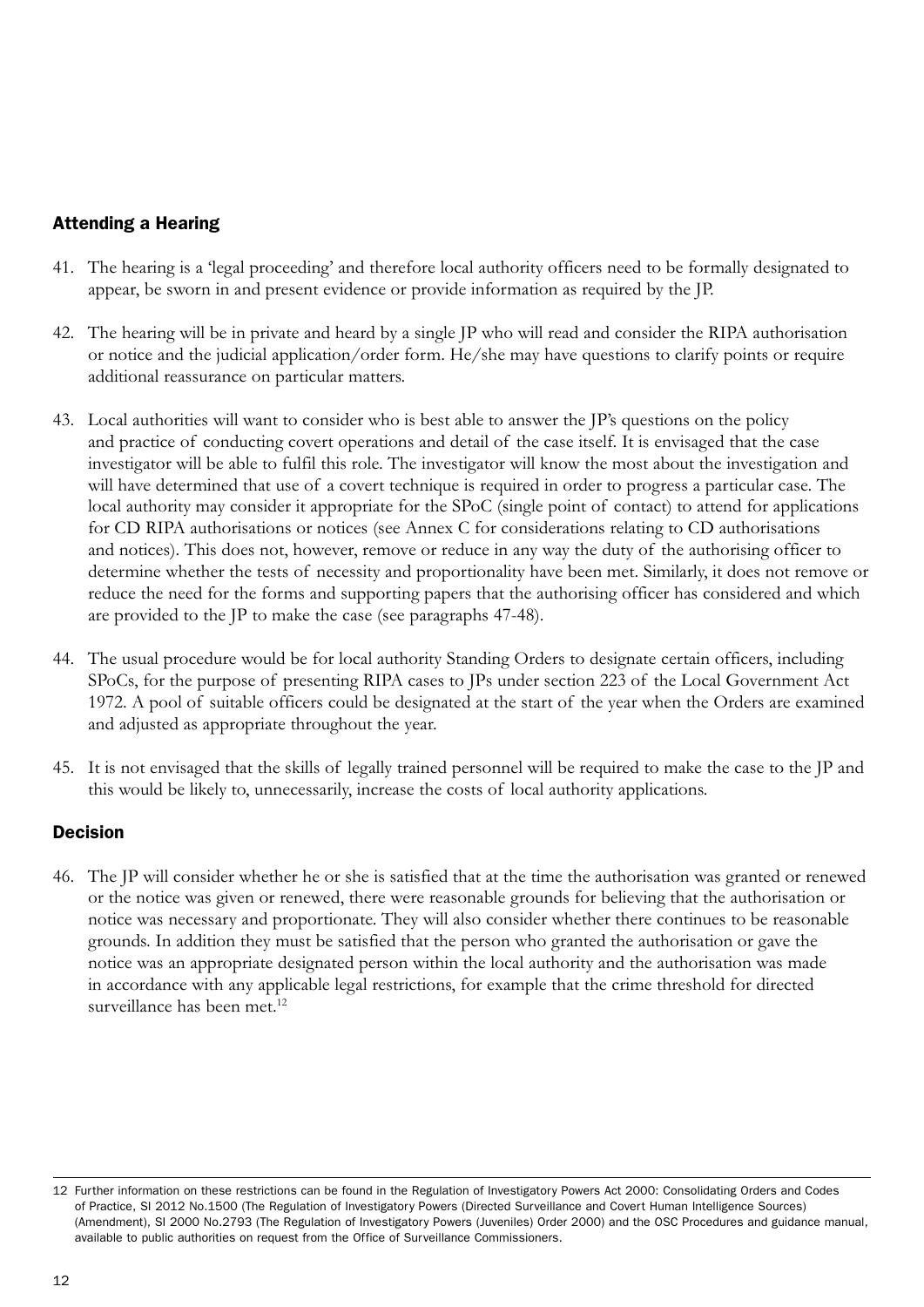#### Attending a Hearing

- 41. The hearing is a 'legal proceeding' and therefore local authority officers need to be formally designated to appear, be sworn in and present evidence or provide information as required by the JP.
- 42. The hearing will be in private and heard by a single JP who will read and consider the RIPA authorisation or notice and the judicial application/order form. He/she may have questions to clarify points or require additional reassurance on particular matters.
- 43. Local authorities will want to consider who is best able to answer the JP's questions on the policy and practice of conducting covert operations and detail of the case itself. It is envisaged that the case investigator will be able to fulfil this role. The investigator will know the most about the investigation and will have determined that use of a covert technique is required in order to progress a particular case. The local authority may consider it appropriate for the SPoC (single point of contact) to attend for applications for CD RIPA authorisations or notices (see Annex C for considerations relating to CD authorisations and notices). This does not, however, remove or reduce in any way the duty of the authorising officer to determine whether the tests of necessity and proportionality have been met. Similarly, it does not remove or reduce the need for the forms and supporting papers that the authorising officer has considered and which are provided to the JP to make the case (see paragraphs 47-48).
- 44. The usual procedure would be for local authority Standing Orders to designate certain officers, including SPoCs, for the purpose of presenting RIPA cases to JPs under section 223 of the Local Government Act 1972. A pool of suitable officers could be designated at the start of the year when the Orders are examined and adjusted as appropriate throughout the year.
- 45. It is not envisaged that the skills of legally trained personnel will be required to make the case to the JP and this would be likely to, unnecessarily, increase the costs of local authority applications.

#### Decision

46. The JP will consider whether he or she is satisfied that at the time the authorisation was granted or renewed or the notice was given or renewed, there were reasonable grounds for believing that the authorisation or notice was necessary and proportionate. They will also consider whether there continues to be reasonable grounds. In addition they must be satisfied that the person who granted the authorisation or gave the notice was an appropriate designated person within the local authority and the authorisation was made in accordance with any applicable legal restrictions, for example that the crime threshold for directed surveillance has been met.<sup>12</sup>

<sup>12</sup> Further information on these restrictions can be found in the Regulation of Investigatory Powers Act 2000: Consolidating Orders and Codes of Practice, SI 2012 No.1500 (The Regulation of Investigatory Powers (Directed Surveillance and Covert Human Intelligence Sources) (Amendment), SI 2000 No.2793 (The Regulation of Investigatory Powers (Juveniles) Order 2000) and the OSC Procedures and guidance manual, available to public authorities on request from the Office of Surveillance Commissioners.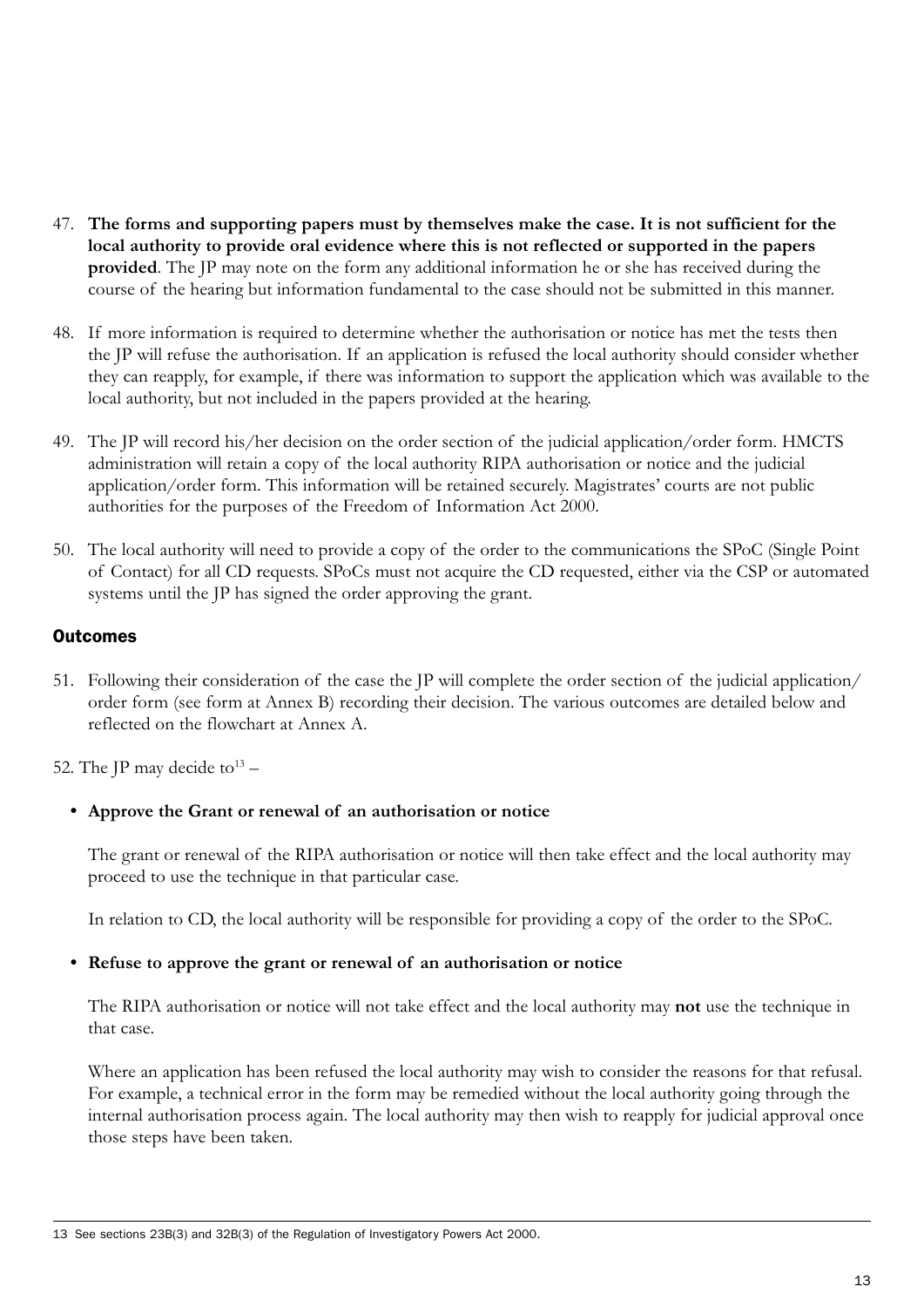- 47. **The forms and supporting papers must by themselves make the case. It is not sufficient for the local authority to provide oral evidence where this is not reflected or supported in the papers provided**. The JP may note on the form any additional information he or she has received during the course of the hearing but information fundamental to the case should not be submitted in this manner.
- 48. If more information is required to determine whether the authorisation or notice has met the tests then the JP will refuse the authorisation. If an application is refused the local authority should consider whether they can reapply, for example, if there was information to support the application which was available to the local authority, but not included in the papers provided at the hearing.
- 49. The JP will record his/her decision on the order section of the judicial application/order form. HMCTS administration will retain a copy of the local authority RIPA authorisation or notice and the judicial application/order form. This information will be retained securely. Magistrates' courts are not public authorities for the purposes of the Freedom of Information Act 2000.
- 50. The local authority will need to provide a copy of the order to the communications the SPoC (Single Point of Contact) for all CD requests. SPoCs must not acquire the CD requested, either via the CSP or automated systems until the JP has signed the order approving the grant.

#### **Outcomes**

51. Following their consideration of the case the JP will complete the order section of the judicial application/ order form (see form at Annex B) recording their decision. The various outcomes are detailed below and reflected on the flowchart at Annex A.

52. The JP may decide to  $13 -$ 

#### **• Approve the Grant or renewal of an authorisation or notice**

The grant or renewal of the RIPA authorisation or notice will then take effect and the local authority may proceed to use the technique in that particular case.

In relation to CD, the local authority will be responsible for providing a copy of the order to the SPoC.

#### **• Refuse to approve the grant or renewal of an authorisation or notice**

The RIPA authorisation or notice will not take effect and the local authority may **not** use the technique in that case.

Where an application has been refused the local authority may wish to consider the reasons for that refusal. For example, a technical error in the form may be remedied without the local authority going through the internal authorisation process again. The local authority may then wish to reapply for judicial approval once those steps have been taken.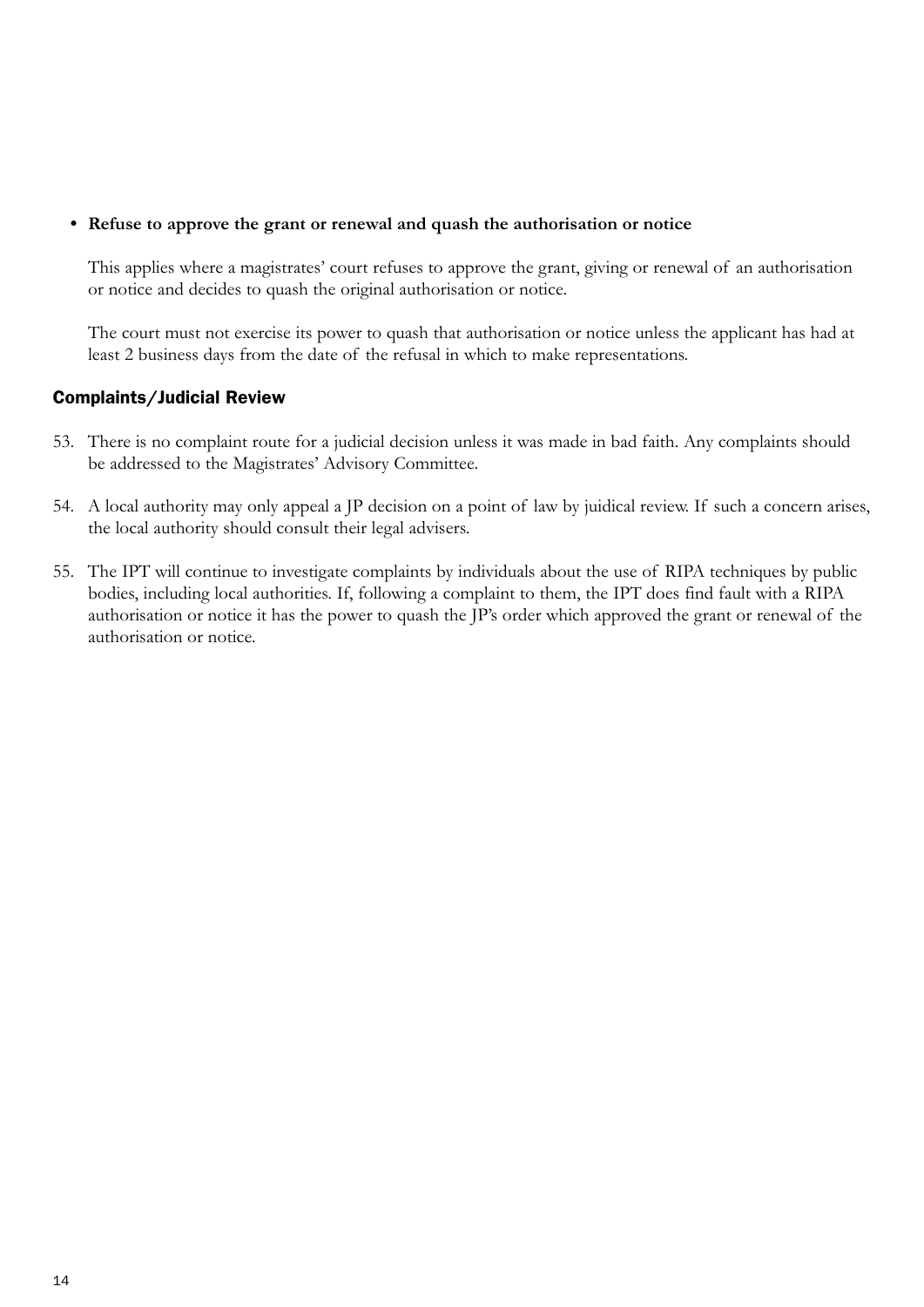#### **• Refuse to approve the grant or renewal and quash the authorisation or notice**

This applies where a magistrates' court refuses to approve the grant, giving or renewal of an authorisation or notice and decides to quash the original authorisation or notice.

The court must not exercise its power to quash that authorisation or notice unless the applicant has had at least 2 business days from the date of the refusal in which to make representations.

#### Complaints/Judicial Review

- 53. There is no complaint route for a judicial decision unless it was made in bad faith. Any complaints should be addressed to the Magistrates' Advisory Committee.
- 54. A local authority may only appeal a JP decision on a point of law by juidical review. If such a concern arises, the local authority should consult their legal advisers.
- 55. The IPT will continue to investigate complaints by individuals about the use of RIPA techniques by public bodies, including local authorities. If, following a complaint to them, the IPT does find fault with a RIPA authorisation or notice it has the power to quash the JP's order which approved the grant or renewal of the authorisation or notice.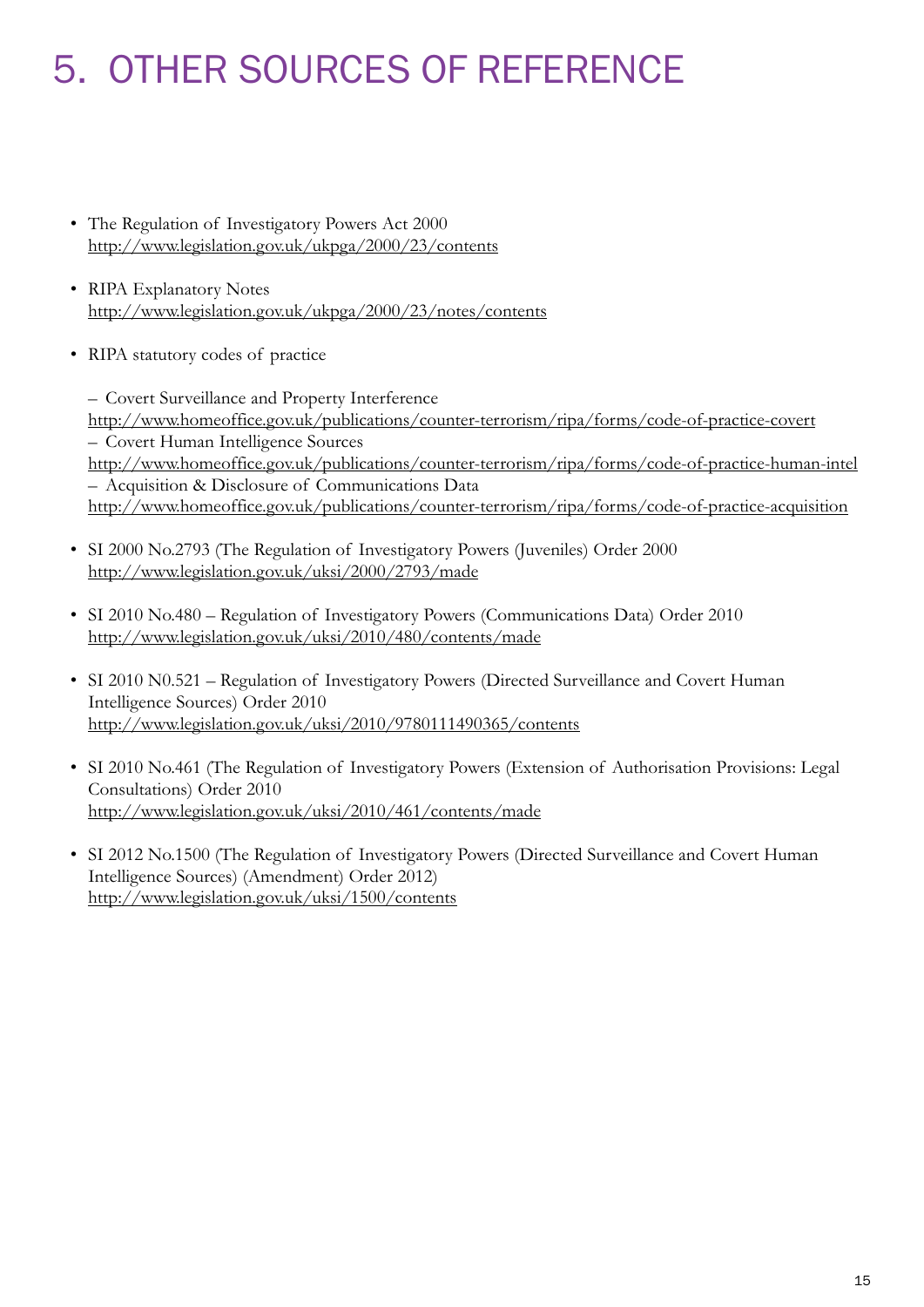## 5. OTHER SOURCES OF REFERENCE

- The Regulation of Investigatory Powers Act 2000 <http://www.legislation.gov.uk/ukpga/2000/23/contents>
- RIPA Explanatory Notes <http://www.legislation.gov.uk/ukpga/2000/23/notes/contents>
- RIPA statutory codes of practice

– Covert Surveillance and Property Interference <http://www.homeoffice.gov.uk/publications/counter-terrorism/ripa/forms/code-of-practice-covert> – Covert Human Intelligence Sources <http://www.homeoffice.gov.uk/publications/counter-terrorism/ripa/forms/code-of-practice-human-intel> – Acquisition & Disclosure of Communications Data <http://www.homeoffice.gov.uk/publications/counter-terrorism/ripa/forms/code-of-practice-acquisition>

- SI 2000 No.2793 (The Regulation of Investigatory Powers (Juveniles) Order 2000 <http://www.legislation.gov.uk/uksi/2000/2793/made>
- SI 2010 No.480 Regulation of Investigatory Powers (Communications Data) Order 2010 <http://www.legislation.gov.uk/uksi/2010/480/contents/made>
- SI 2010 N0.521 Regulation of Investigatory Powers (Directed Surveillance and Covert Human Intelligence Sources) Order 2010 <http://www.legislation.gov.uk/uksi/2010/9780111490365/contents>
- SI 2010 No.461 (The Regulation of Investigatory Powers (Extension of Authorisation Provisions: Legal Consultations) Order 2010 <http://www.legislation.gov.uk/uksi/2010/461/contents/made>
- SI 2012 No.1500 (The Regulation of Investigatory Powers (Directed Surveillance and Covert Human Intelligence Sources) (Amendment) Order 2012) <http://www.legislation.gov.uk/uksi/1500/contents>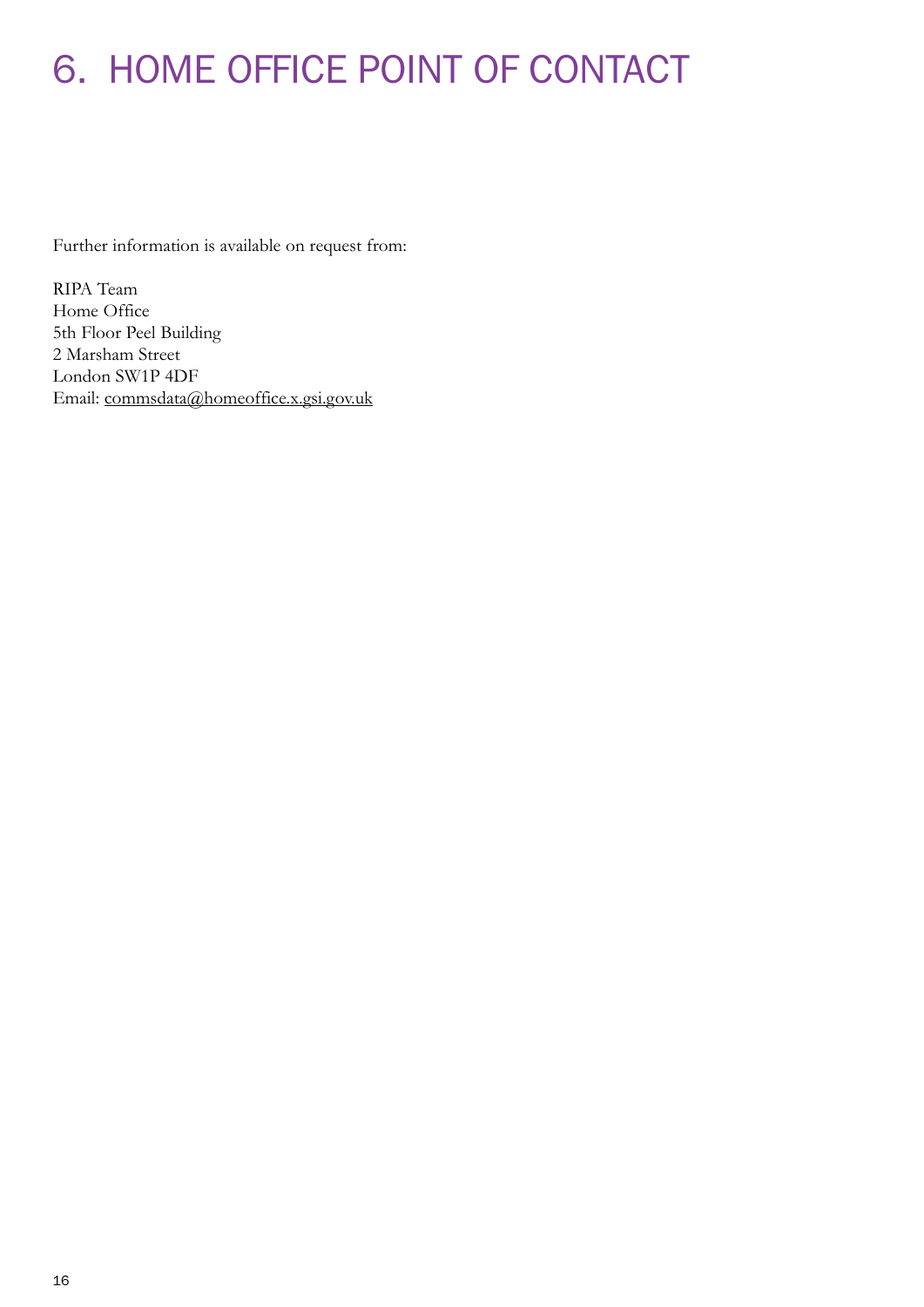## 6. HOME OFFICE POINT OF CONTACT

Further information is available on request from:

RIPA Team Home Office 5th Floor Peel Building 2 Marsham Street London SW1P 4DF Email: [commsdata@homeoffice.x.gsi.gov.uk](mailto:commsdata%40homeoffice.x.gsi.gov.uk?subject=)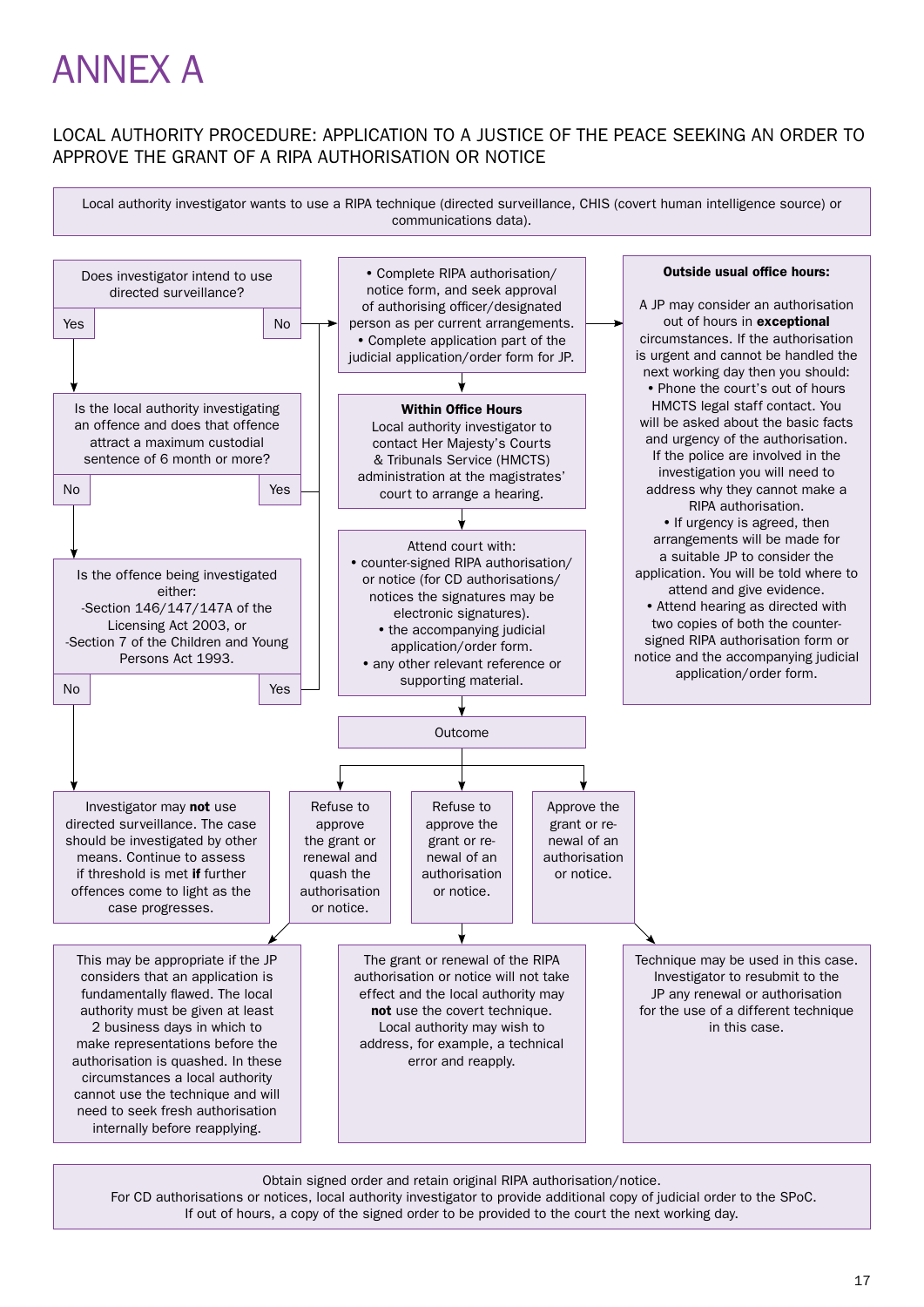## ANNEX A

#### LOCAL AUTHORITY PROCEDURE: APPLICATION TO A JUSTICE OF THE PEACE SEEKING AN ORDER TO APPROVE THE GRANT OF A RIPA AUTHORISATION OR NOTICE

Local authority investigator wants to use a RIPA technique (directed surveillance, CHIS (covert human intelligence source) or communications data).



Obtain signed order and retain original RIPA authorisation/notice. For CD authorisations or notices, local authority investigator to provide additional copy of judicial order to the SPoC. If out of hours, a copy of the signed order to be provided to the court the next working day.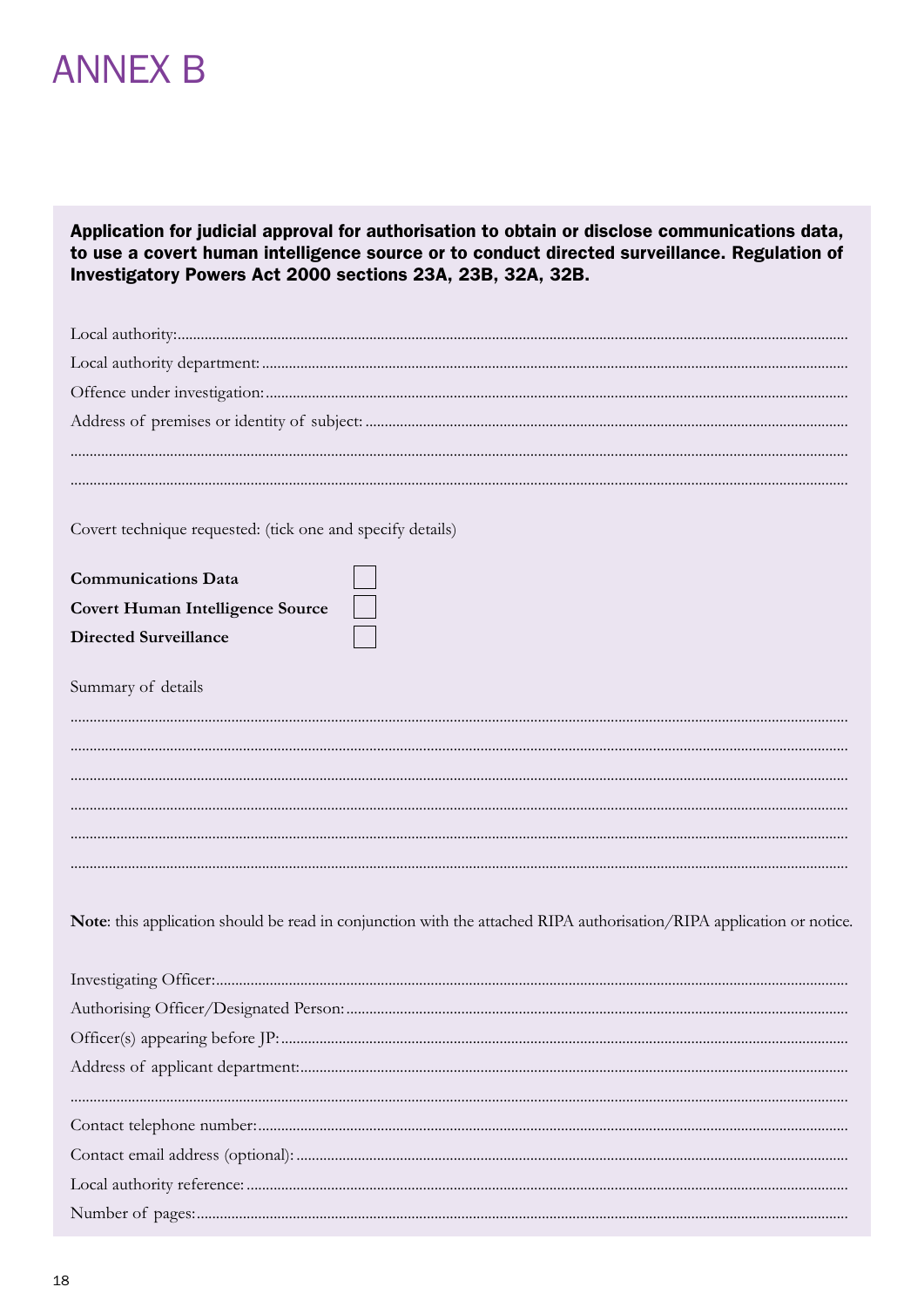### **ANNEX B**

Application for judicial approval for authorisation to obtain or disclose communications data, to use a covert human intelligence source or to conduct directed surveillance. Regulation of Investigatory Powers Act 2000 sections 23A, 23B, 32A, 32B.

| Covert technique requested: (tick one and specify details)                                                            |  |
|-----------------------------------------------------------------------------------------------------------------------|--|
| <b>Communications Data</b>                                                                                            |  |
| <b>Covert Human Intelligence Source</b>                                                                               |  |
| <b>Directed Surveillance</b>                                                                                          |  |
| Summary of details                                                                                                    |  |
|                                                                                                                       |  |
|                                                                                                                       |  |
|                                                                                                                       |  |
|                                                                                                                       |  |
|                                                                                                                       |  |
| Note: this application should be read in conjunction with the attached RIPA authorisation/RIPA application or notice. |  |
|                                                                                                                       |  |
|                                                                                                                       |  |
|                                                                                                                       |  |
|                                                                                                                       |  |
|                                                                                                                       |  |
|                                                                                                                       |  |
|                                                                                                                       |  |
|                                                                                                                       |  |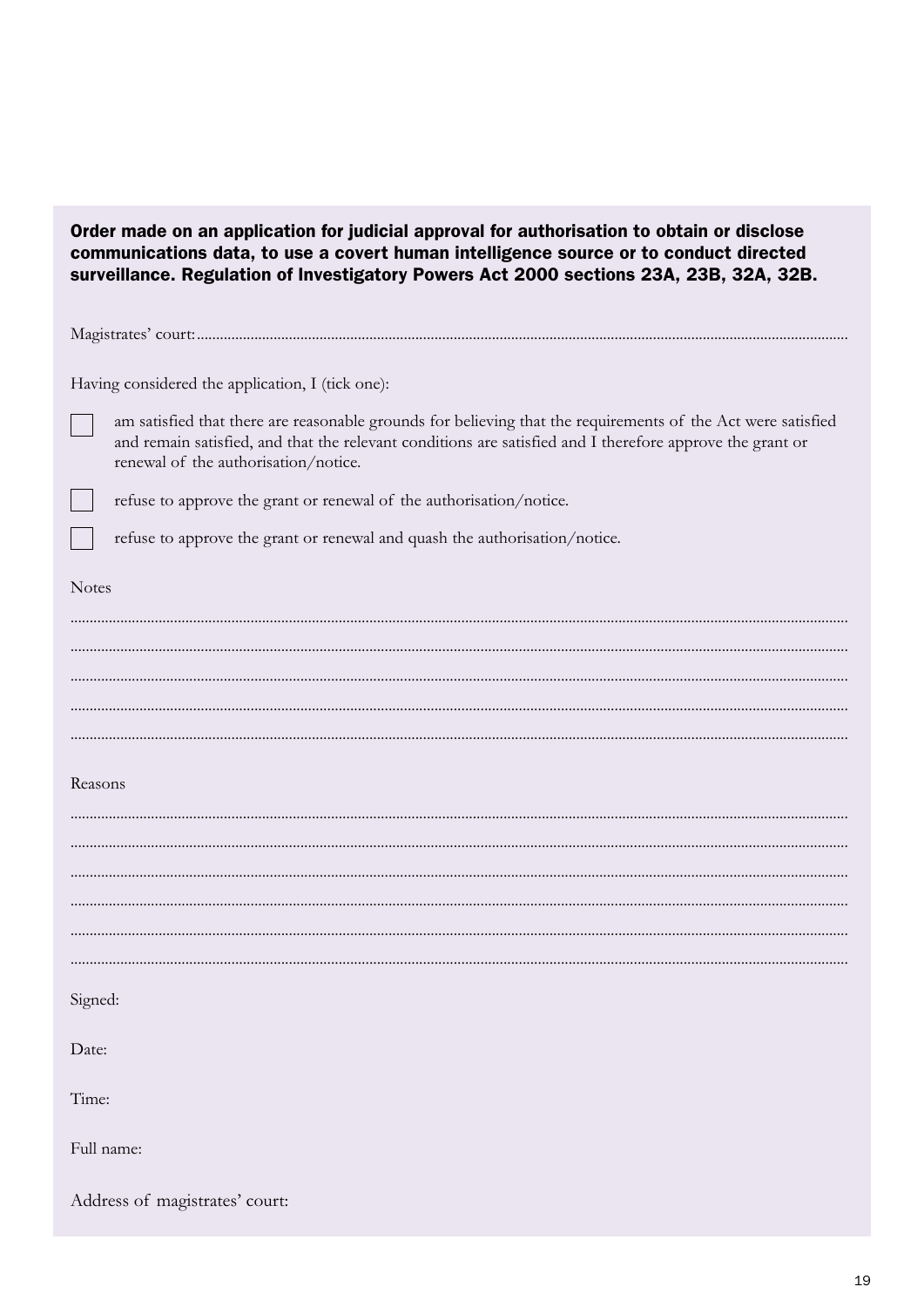| Order made on an application for judicial approval for authorisation to obtain or disclose<br>communications data, to use a covert human intelligence source or to conduct directed<br>surveillance. Regulation of Investigatory Powers Act 2000 sections 23A, 23B, 32A, 32B. |
|-------------------------------------------------------------------------------------------------------------------------------------------------------------------------------------------------------------------------------------------------------------------------------|
|                                                                                                                                                                                                                                                                               |
| Having considered the application, I (tick one):                                                                                                                                                                                                                              |
| am satisfied that there are reasonable grounds for believing that the requirements of the Act were satisfied<br>and remain satisfied, and that the relevant conditions are satisfied and I therefore approve the grant or<br>renewal of the authorisation/notice.             |
| refuse to approve the grant or renewal of the authorisation/notice.                                                                                                                                                                                                           |
| refuse to approve the grant or renewal and quash the authorisation/notice.                                                                                                                                                                                                    |
| <b>Notes</b>                                                                                                                                                                                                                                                                  |
|                                                                                                                                                                                                                                                                               |
|                                                                                                                                                                                                                                                                               |
|                                                                                                                                                                                                                                                                               |
|                                                                                                                                                                                                                                                                               |
|                                                                                                                                                                                                                                                                               |
| Reasons                                                                                                                                                                                                                                                                       |
|                                                                                                                                                                                                                                                                               |
|                                                                                                                                                                                                                                                                               |
|                                                                                                                                                                                                                                                                               |
|                                                                                                                                                                                                                                                                               |
|                                                                                                                                                                                                                                                                               |
| Signed:                                                                                                                                                                                                                                                                       |
| Date:                                                                                                                                                                                                                                                                         |
| Time:                                                                                                                                                                                                                                                                         |
| Full name:                                                                                                                                                                                                                                                                    |
| Address of magistrates' court:                                                                                                                                                                                                                                                |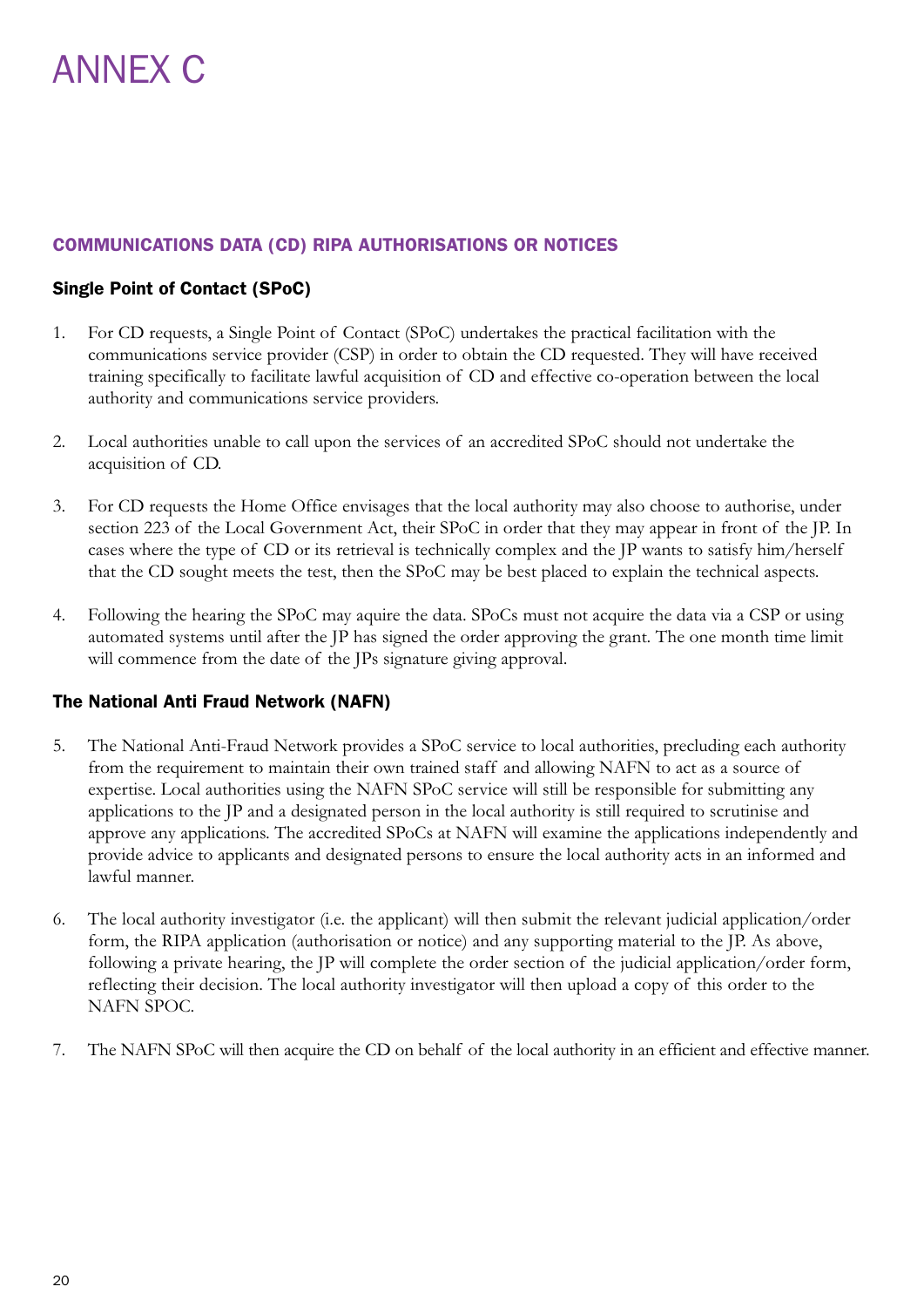#### COMMUNICATIONS DATA (CD) RIPA AUTHORISATIONS OR NOTICES

#### Single Point of Contact (SPoC)

- 1. For CD requests, a Single Point of Contact (SPoC) undertakes the practical facilitation with the communications service provider (CSP) in order to obtain the CD requested. They will have received training specifically to facilitate lawful acquisition of CD and effective co-operation between the local authority and communications service providers.
- 2. Local authorities unable to call upon the services of an accredited SPoC should not undertake the acquisition of CD.
- 3. For CD requests the Home Office envisages that the local authority may also choose to authorise, under section 223 of the Local Government Act, their SPoC in order that they may appear in front of the JP. In cases where the type of CD or its retrieval is technically complex and the JP wants to satisfy him/herself that the CD sought meets the test, then the SPoC may be best placed to explain the technical aspects.
- 4. Following the hearing the SPoC may aquire the data. SPoCs must not acquire the data via a CSP or using automated systems until after the JP has signed the order approving the grant. The one month time limit will commence from the date of the JPs signature giving approval.

#### The National Anti Fraud Network (NAFN)

- 5. The National Anti-Fraud Network provides a SPoC service to local authorities, precluding each authority from the requirement to maintain their own trained staff and allowing NAFN to act as a source of expertise. Local authorities using the NAFN SPoC service will still be responsible for submitting any applications to the JP and a designated person in the local authority is still required to scrutinise and approve any applications. The accredited SPoCs at NAFN will examine the applications independently and provide advice to applicants and designated persons to ensure the local authority acts in an informed and lawful manner.
- 6. The local authority investigator (i.e. the applicant) will then submit the relevant judicial application/order form, the RIPA application (authorisation or notice) and any supporting material to the JP. As above, following a private hearing, the JP will complete the order section of the judicial application/order form, reflecting their decision. The local authority investigator will then upload a copy of this order to the NAFN SPOC.
- 7. The NAFN SPoC will then acquire the CD on behalf of the local authority in an efficient and effective manner.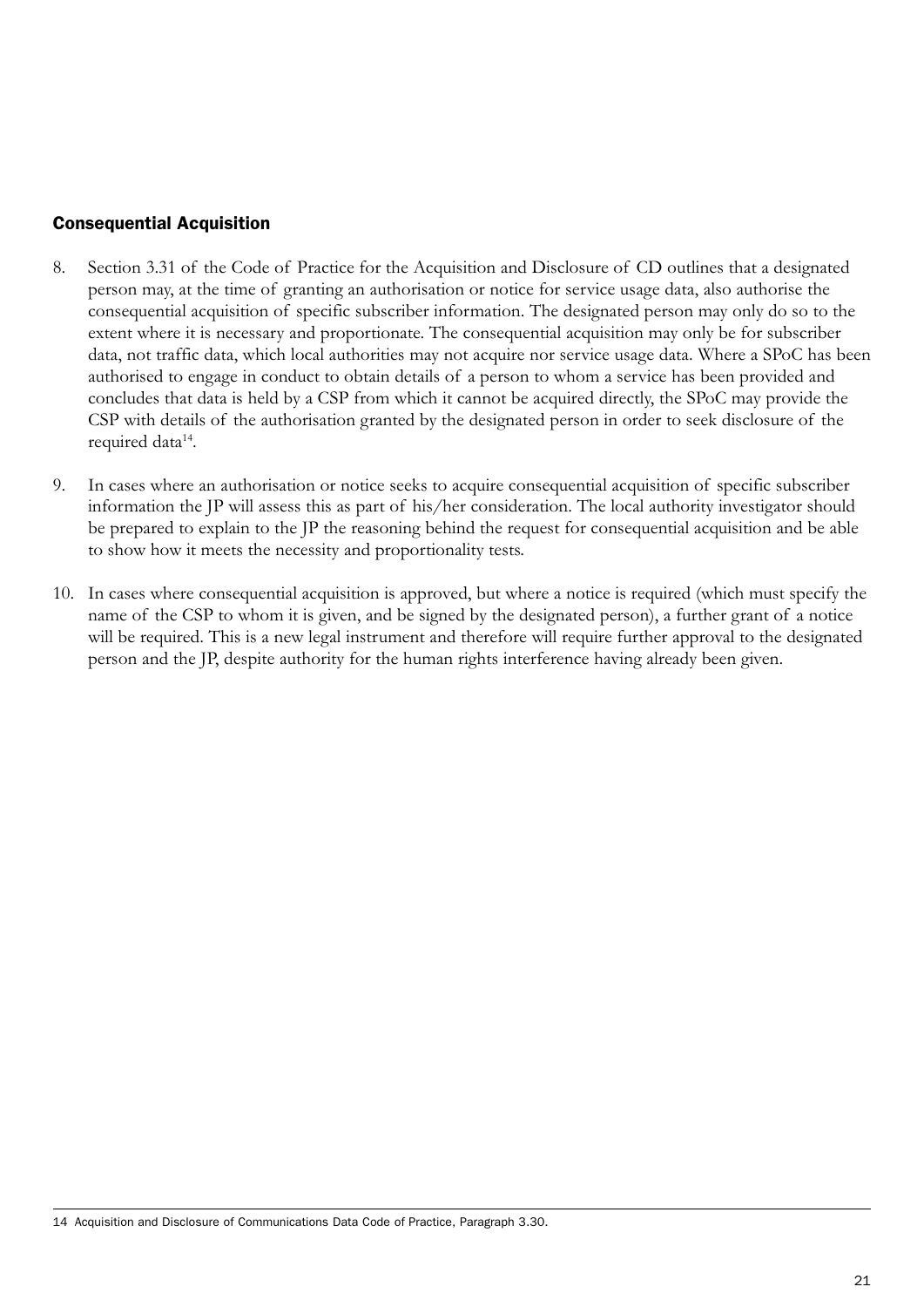#### Consequential Acquisition

- 8. Section 3.31 of the Code of Practice for the Acquisition and Disclosure of CD outlines that a designated person may, at the time of granting an authorisation or notice for service usage data, also authorise the consequential acquisition of specific subscriber information. The designated person may only do so to the extent where it is necessary and proportionate. The consequential acquisition may only be for subscriber data, not traffic data, which local authorities may not acquire nor service usage data. Where a SPoC has been authorised to engage in conduct to obtain details of a person to whom a service has been provided and concludes that data is held by a CSP from which it cannot be acquired directly, the SPoC may provide the CSP with details of the authorisation granted by the designated person in order to seek disclosure of the required data<sup>14</sup>.
- 9. In cases where an authorisation or notice seeks to acquire consequential acquisition of specific subscriber information the JP will assess this as part of his/her consideration. The local authority investigator should be prepared to explain to the JP the reasoning behind the request for consequential acquisition and be able to show how it meets the necessity and proportionality tests.
- 10. In cases where consequential acquisition is approved, but where a notice is required (which must specify the name of the CSP to whom it is given, and be signed by the designated person), a further grant of a notice will be required. This is a new legal instrument and therefore will require further approval to the designated person and the JP, despite authority for the human rights interference having already been given.